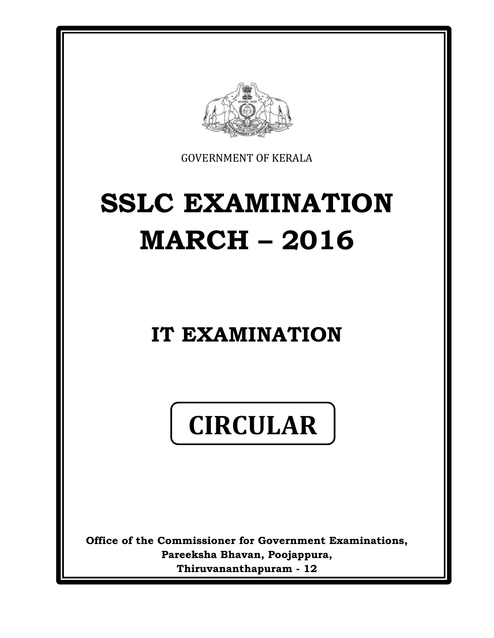

GOVERNMENT OF KERALA

# **SSLC EXAMINATION MARCH – 2016**

# **IT EXAMINATION**

# **CIRCULAR**

**Office of the Commissioner for Government Examinations, Pareeksha Bhavan, Poojappura, Thiruvananthapuram - 12**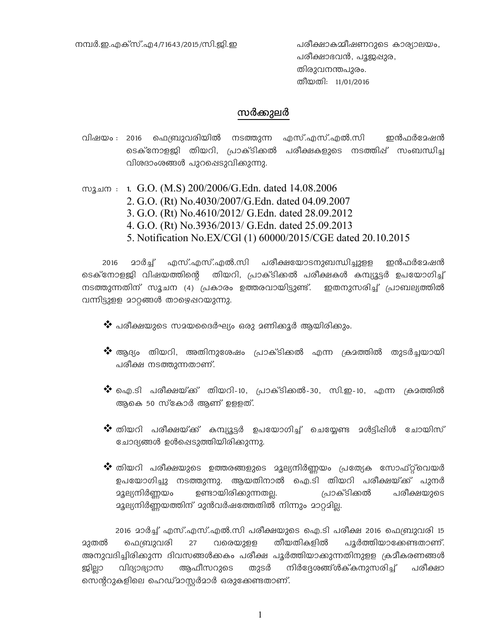പരീക്ഷാഭവൻ, പൂജുഷുര, തിരുവനന്തപുരം. തീയതി: 11/01/2016

#### സർക്കുലർ

- വിഷയം : 2016 ഫെബ്രുവരിയിൽ നടത്തുന്ന എസ്.എസ്.എൽ.സി ഇൻഫർദേഷൻ ടെക്നോളജി തിയറി, പ്രാക്ടിക്കൽ പരീക്ഷകളുടെ നടത്തിഷ് സംബന്ധിച്ച വിശദാംശങ്ങൾ പുറഷെടുവിക്കുന്നു.
- സൂചന : 1. G.O. (M.S) 200/2006/G.Edn. dated 14.08.2006 2. G.O. (Rt) No.4030/2007/G.Edn. dated 04.09.2007 3. G.O. (Rt) No.4610/2012/ G.Edn. dated 28.09.2012 4. G.O. (Rt) No.3936/2013/ G.Edn. dated 25.09.2013 5. Notification No.EX/CGl (1) 60000/2015/CGE dated 20.10.2015

2016 20ർച്ച് എസ്.എസ്.എൽ.സി പരീക്ഷയോടനുബന്ധിച്ചുളള ഇൻഫർദേഷൻ ടെക്നോളജി വിഷയത്തിന്റെ തിയറി, പ്രാക്ടിക്കൽ പരീക്ഷകൾ കമ്പ്യൂട്ടർ ഉപയോഗിച്ച് നടത്തുന്നതിന് സൂചന (4) പ്രകാരം ഉത്തരവായിട്ടുണ്ട്. ഇതനുസരിച്ച് പ്രാബല്യത്തിൽ വന്നിട്ടുളള മാറ്റങ്ങൾ താഴെഷറയുന്നു.

- $\clubsuit$  പരീക്ഷയുടെ സമയദൈർഘ്യം ഒരു മണിക്കൂർ ആയിരിക്കും.
- $\clubsuit$  ആദ്യം തിയറി, അതിനുശേഷം പ്രാക്ടിക്കൽ എന്ന ക്രമത്തിൽ തുടർച്ചയായി പരീക്ഷ നടത്തുന്നതാണ്.
- $\clubsuit$  ഐ.ടി പരീക്ഷയ്ക് തിയറി-10, പ്രാക്ടിക്കൽ-30, സി.ഇ-10, എന്ന ക്രമത്തിൽ ആകെ 50 സ്കോർ ആണ് ഉളളത്.
- $\clubsuit$  തിയറി പരീക്ഷയ്ക്ക് കമ്പ്യൂട്ടർ ഉപയോഗിച്ച് ചെയ്യേണ്ട മൾട്ടിപ്പിൾ ചോയിസ് ചോദ്യങ്ങൾ ഉൾഷെടുത്തിയിരിക്കുന്നു.
- $\dots$  തിയറി പരീക്ഷയുടെ ഉത്തരങ്ങളുടെ മൂല്യനിർണ്ണയം പ്രത്യേക സോഫ്റ്റ്വെയർ ഉപയോഗിച്ചു നടത്തുന്നു. ആയതിനാൽ ഐ.ടി തിയറി പരീക്ഷയ്ക്ക് പുനർ  $\,$ ച്ചല്യനിർണയം ഉണ്ടായിരിക്കുന്നതല്.  $\,$ പ്രാക്ടിക്കൽ പരീക്ഷയുടെ aვല്യനിർണ്ണയത്തിന് മുൻവർഷത്തേതിൽ നിന്നും മാറ്റമി<u>ല്ല</u>.

2016 മാർച്ച് എസ്.എസ്.എൽ.സി പരീക്ഷയുടെ ഐ.ടി പരീക്ഷ 2016 ഫെബ്രുവരി 15 23തൽ ഫെബ്രുവരി 27 വരെയുളള തീയതികളിൽ പൂർത്തിയാക്കേണ്ടതാണ്. അനുവദിച്ചിരിക്കുന്ന ദിവസങ്ങൾകകം പരീക്ഷ പൂർത്തിയാക്കുന്നതിനുളള ക്രമീകരണങ്ങൾ ജിലാ വിദ്യാഭ്യാസ ആഫീസറുടെ തുടർ നിർദ്ദേശങ്ങ്ൾക്**കനുസരിച്ച് പരീക്ഷാ** സെന്ററുകളിലെ ഹെഡ്മാസ്ലർമാർ ഒരുക്കേണ്ടതാണ്.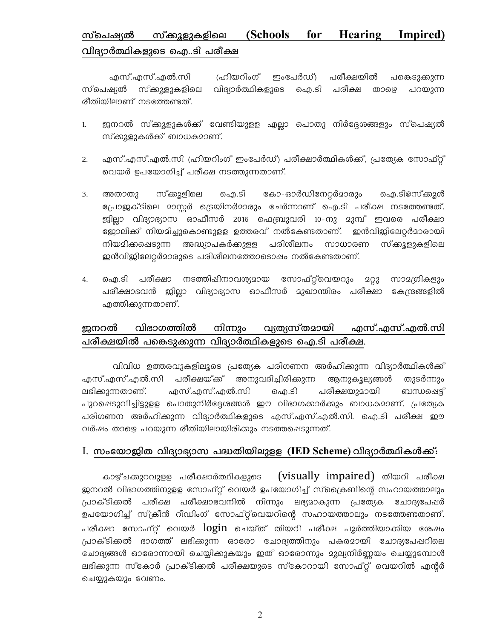#### സ്കുളുകളിലെ (Schools for **Hearing** Impired) <u>സ്പെഷ്യ</u>ൽ വിദ്യാർത്ഥികളുടെ ഐ..ടി പരീക്ഷ

എസ്.എസ്.എൽ.സി (ഹിയറിംഗ് ഇംപേർഡ്) പരീക്ഷയിൽ പങ്കെടുക്കുന്ന സ്ക്കൂളുകളിലെ വിദ്യാർത്ഥികളുടെ ഐ.ടി പരീക്ഷ സ്പെഷ്യൽ താഴെ പറയുന്ന രീതിയിലാണ് നടത്തേണ്ടത്.

- ജനറൽ സ്ക്കൂളുകൾക്ക് വേണ്ടിയുളള എല്ലാ പൊതു നിർദ്ദേശങ്ങളും സ്പെഷ്യൽ  $1.$ സ്ക്കൂളുകൾക്ക് ബാധകമാണ്.
- എസ്.എസ്.എൽ.സി (ഹിയറിംഗ് ഇംപേർഡ്) പരീക്ഷാർത്ഥികൾക്ക്, പ്രത്യേക സോഫ്റ്റ്  $2.$ വെയർ ഉപയോഗിച്ച് പരീക്ഷ നടത്തുന്നതാണ്.
- അതാതു സ്ക്കൂളിലെ ഐ.ടി കോ-ഓർഡിനേറ്റർമാരും ഐ.ടി@സ്ക്കൂൾ  $3.$ പ്രോജക്ടിലെ മാസ്റ്റർ ട്രെയിനർമാരും ചേർന്നാണ് ഐ.ടി പരീക്ഷ നടത്തേണ്ടത്. ജില്ലാ വിദ്യാഭ്യാസ ഓഫീസർ 2016 ഫെബ്രുവരി 10-നു മുമ്പ് ഇവരെ പരീക്ഷാ ള്ളോലിക്ക് നിയമിച്ചുകൊണ്ടുളള ഉത്തരവ് നൽകേണ്ടതാണ്. ഇൻവിജിലേറ്റർമാരായി നിയമിക്കപ്പെടുന്ന അദ്ധ്യാപകർക്കുളള പരിശീലനം സാധാരണ സ്ക്കൂളുകളിലെ ഇൻവിളിലേറ്റർമാരുടെ പരിശീലനത്തോടൊഷം നൽകേണ്ടതാണ്.
- ഐ.ടി പരീക്ഷാ നടത്തിഷിനാവശ്യമായ സോഫ്റ്റ്വെയറും മറ്റു സാമഗ്രികളും 4. പരീക്ഷാഭവൻ ജില്ലാ വിദ്യാഭ്യാസ ഓഫീസർ മുഖാന്തിരം പരീക്ഷാ കേന്ദ്രങ്ങളിൽ എത്തിക്കുന്നതാണ്.

#### വിഭാഗത്തിൽ വ്യത്യസ്തമായി ജനറൽ നിന്നും എസ്.എസ്.എൽ.സി പരീക്ഷയിൽ പങ്കെടുക്കുന്ന വിദ്യാർത്ഥികളുടെ ഐ.ടി പരീക്ഷ.

വിവിധ ഉത്തരവുകളിലൂടെ പ്രത്യേക പരിഗണന അർഹിക്കുന്ന വിദ്യാർത്ഥികൾക്ക് എസ്.എസ്.എൽ.സി പരീക്ഷയ്ക്ക് അനുവദിച്ചിരിക്കുന്ന ആനുകൂല്യങ്ങൾ തുടർന്നും എസ്.എസ്.എൽ.സി ലഭിക്കുന്നതാണ്. ഐ.ടി പരീക്ഷയുമായി ബന്ധപ്പെട് പുറപ്പെടുവിച്ചിട്ടുളള പൊതുനിർദ്ദേശങ്ങൾ ഈ വിഭാഗക്കാർക്കും ബാധകമാണ്. പ്രത്യേക പരിഗണന അർഹിക്കുന്ന വിദ്യാർത്ഥികളുടെ എസ്.എസ്.എൽ.സി. ഐ.ടി പരീക്ഷ ഈ വർഷം താഴെ പറയുന്ന രീതിയിലായിരിക്കും നടത്തപ്പെടുന്നത്.

#### I. സംയോജിത വിദ്യാഭ്യാസ പദ്ധതിയിലുളള (IED Scheme) വിദ്യാർത്ഥികൾക്ക്:

(visually impaired) തിയറി പരീക്ഷ കാഴ്ചക്കുറവുളള പരീക്ഷാർത്ഥികളുടെ ജനറൽ വിഭാഗത്തിനുളള സോഫ്റ്റ് വെയർ ഉപയോഗിച്ച് സ്ക്രൈബിന്റെ സഹായത്താലും പ്രാക്ടിക്കൽ പരീക്ഷ പരീക്ഷാഭവനിൽ നിന്നും ലഭ്യമാകുന്ന പ്രത്യേക ചോദ്യപേഷർ ഉപയോഗിച്ച് സ്ക്രീൻ റീഡിംഗ് സോഫ്റ്റ്വെയറിന്റെ സഹായത്താലും നടത്തേണ്ടതാണ്. പരീക്ഷാ സോഫ്റ്റ് വെയർ  $\log$ in ചെയ്ത് തിയറി പരീക്ഷ പൂർത്തിയാക്കിയ ശേഷം പ്രാക്ടിക്കൽ ഭാഗത്ത് ലഭിക്കുന്ന ഓരോ ചോദ്യത്തിനും പകരമായി ചോദ്യപേഷറിലെ ചോദ്യങ്ങൾ ഓരോന്നായി ചെയ്യിക്കുകയും ഇത് ഓരോന്നും മൂല്യനിർണ്ണയം ചെയ്യുമ്പോൾ ലഭിക്കുന്ന സ്കോർ പ്രാക്ടിക്കൽ പരീക്ഷയുടെ സ്കോറായി സോഫ്റ്റ് വെയറിൽ എന്റർ ചെയ്യുകയും വേണം.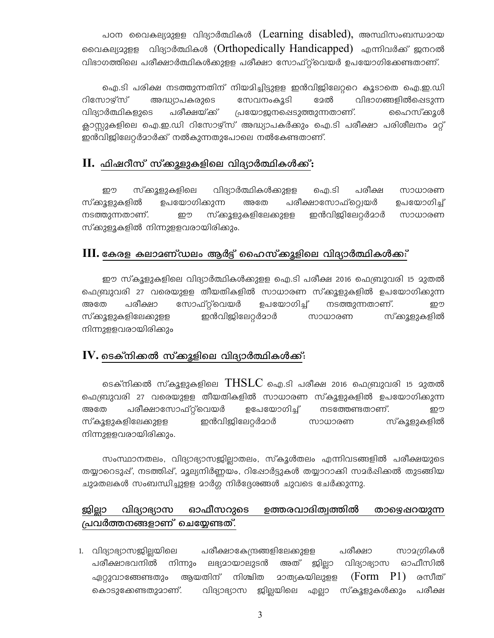പഠന വൈകല്യമുളള വിദ്യാർത്ഥികൾ (Learning disabled), അസ്ഥിസംബന്ധമായ വൈകല്യമുളള വിദ്യാർത്ഥികൾ (Orthopedically Handicapped) എന്നിവർക്ക് ജനറൽ വിഭാഗത്തിലെ പരീക്ഷാർത്ഥികൾക്കുളള പരീക്ഷാ സോഫ്റ്റ്വെയർ ഉപയോഗിക്കേണ്ടതാണ്.

ഐ.ടി പരിക്ഷ നടത്തുന്നതിന് നിയമിച്ചിട്ടുളള ഇൻവിജിലേറ്ററെ കൂടാതെ ഐ.ഇ.ഡി റിസോഴ്സ് സേവനംകൂടി ദേൽ വിഭാഗങ്ങളിൽപ്പെടുന്ന അദ്ധ്യാപകരുടെ വിദ്യാർത്ഥികളുടെ പരീക്ഷയ്ക്ക് പ്രയോജനപ്പെടുത്തുന്നതാണ്. ഹൈസ്ക്കൂൾ ക്ലാസ്റ്റുകളിലെ ഐ.ഇ.ഡി റിസോഴ്സ് അദ്ധ്യാപകർക്കും ഐ.ടി പരീക്ഷാ പരിശീലനം <mark>2</mark>റ്റ് ഇൻവിജിലേറ്റർമാർക്ക് നൽകുന്നതുപോലെ നൽകേണ്ടതാണ്.

#### $\rm{II.}$  ഫിഷറീസ് സ്ക്കൂളുകളിലെ വിദ്യാർത്ഥികൾക്ക്:

ഈ സ്ക്കൂളുകളിലെ വിദ്യാർത്ഥികൾക്കുളള ഐ.ടി പരീക്ഷ സാധാരണ സ്കുളുകളിൽ ഉപയോഗിക്കുന്ന അതേ പരീക്ഷാസോഫ്റ്റ്വെയർ ഉപയോഗിച്ച് നടത്തുന്നതാണ്. സ്ക്കൂളുകളിലേക്കുളള ഇൻവിജിലേറ്റർമാർ ഈ സാധാരണ സ്കുളൂകളിൽ നിന്നുളളവരായിരിക്കും.

#### $\rm III$ . കേരള കലാമണ്ഡലം ആർട്ട് ഹൈസ്ക്കുളിലെ വിദ്യാർത്ഥികൾക്ക:്

ഈ സ്കൂളുകളിലെ വിദ്യാർത്ഥികൾക്കുളള ഐ.ടി പരീക്ഷ 2016 ഫെബ്രുവരി 15 മുതൽ ഫെബ്രുവരി 27 വരെയുളള തീയതികളിൽ സാധാരണ സ്ക്കൂളുകളിൽ ഉപയോഗികുന്ന പരീക്ഷാ സോഫ്റ്റ്റെവയർ ഉപയോഗിച്ച് നടത്തുന്നതാണ്. അതേ ഈ ഇൻവിങ്കിലേറ്റർമാർ സ്ക്കൂളുകളിലേക്കുളള സ്കുളുകളിൽ സാധാരണ നിന്നുളളവരായിരിക്കും

#### ${\bf IV}.$  ടെക്നിക്കൽ സ്ക്കൂളിലെ വിദ്യാർത്ഥികൾക്ക്:

ടെക്നിക്കൽ സ്കൂളുകളിലെ  $\rm THSLC$  ഐ.ടി പരീക്ഷ 2016 ഫെബ്രുവരി 15 മുതൽ ഫെബ്രുവരി 27 വരെയുളള തീയതികളിൽ സാധാരണ സ്കൂളുകളിൽ ഉപയോഗിക്കുന്ന പരീക്ഷാസോഫ്റ്റ്വെയർ ഉപേയോഗിച്ച് നടത്തേണ്ടതാണ്. അതേ ഈ ഇൻവിജിലേറ്റർമാർ സ്കൂളുകളിലേക്കുളള സ്കൂളുകളിൽ സാധാരണ നിന്നുളളവരായിരിക്കും.

സംസ്ഥാനതലം, വിദ്യാഭ്യാസജില്ലാതലം, സ്കൂൾതലം എന്നിവടങ്ങളിൽ പരീക്ഷയുടെ തയ്യാറെടുപ്പ്, നടത്തിപ്പ്, മൂല്യനിർണ്ണയം, റിപ്പോർട്ടുകൾ തയ്യാറാക്കി സമർപ്പിക്കൽ തുടങ്ങിയ ചുദതലകൾ സംബന്ധിച്ചുളള മാർഗ്ഗ നിർദ്ദേശങ്ങൾ ചുവടെ ചേർക്കുന്നു.

#### ജില്ലാ ഓഫീസറുടെ ഉത്തരവാദിത്വത്തിൽ വിദ്യാഭ്യാസ താഴ്വൈഷറയുന്ന പ്രവർത്തനങ്ങളാണ് ചെയ്യേണ്ടത്.

പരീക്ഷാകേന്ദ്രങ്ങളിലേക്കുളള പരീക്ഷാ 1. വിദ്യാഭ്യാസജില്ലയിലെ സാമഗ്രികൾ പരീക്ഷാഭവനിൽ നിന്നും ലഭ്യമായാലുടൻ അത് ജില്ലാ വിദ്യാഭ്യാസ ഓഫീസിൽ ഏറ്റുവാങ്ങേണ്ടതും ആയതിന് നിശ്ചിത <u> മാത്യകയിലുള്ള</u>  $(Form P1)$ രസീത് വിദ്യാഭ്യാസ ജില്ലയിലെ എല്ലാ സ്കൂളുകൾക്കും കൊടുക്കേണ്ടതുമാണ്. പരീക്ഷ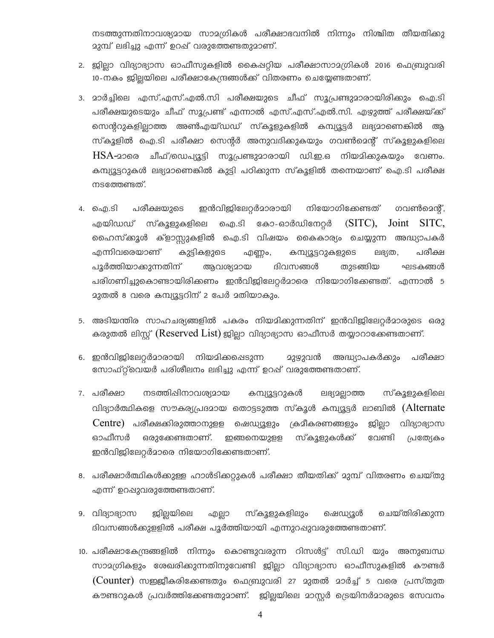നടത്തുന്നതിനാവര്യമായ സാമഗ്രികൾ പരീക്ഷാഭവനിൽ നിന്നും നിശ്ചിത തീയതിക്കു മുമ്പ് ലഭിച്ചു എന്ന് ഉറഷ് വരുത്തേണ്ടതുമാണ്.

- 2. ജില്ലാ വിദ്യാഭ്യാസ ഓഫീസുകളിൽ കൈഷറ്റിയ പരീക്ഷാസാമഗ്രികൾ 2016 ഫെബ്രുവരി 10-നകം ജില്ലയിലെ പരീക്ഷാകേന്ദ്രങ്ങൾക്ക് വിതരണം ചെയ്യേണ്ടതാണ്.
- 3. മാർച്ചിലെ എസ്.എസ്.എൽ.സി പരീക്ഷയുടെ ചീഫ് സൂപ്രണ്ടുമാരായിരിക്കും ഐ.ടി പരീക്ഷയുടെയും ചീഫ് സൂപ്രണ്ട് എന്നാൽ എസ്.എസ്.എൽ.സി. എഴുത്ത് പരീക്ഷയ്ക്ക് സെന്ററുകളില്ലാത്ത അൺഎയ്ഡഡ് സ്കൂളുകളിൽ കമ്പ്യൂട്ടർ ലഭ്യമാണെങ്കിൽ ആ സ്കൂളിൽ ഐ.ടി പരീക്ഷാ സെന്റർ അനുവദിക്കുകയും ഗവൺമെന്റ് സ്കൂളുകളിലെ  $\text{HSA}-2$ ാരെ ചീഫ്/ഡെപ്യൂട്ടി സൂപ്രണ്ടുമാരായി ഡി.ഇ.ഒ നിയമിക്കുകയും വേണം. കമ്പ്യൂട്ടറുകൾ ലഭ്യമാണെങ്കിൽ കുട്ടി പഠിക്കുന്ന സ്കൂളിൽ തന്നെയാണ് ഐ.ടി പരീക്ഷ നടത്തേണ്ടത്.
- നിയോഗിക്കേണ്ടത് പരീക്ഷയുടെ ഇൻവിജിലേറ്റർമാരായി ഗവൺമെന്റ്, 4. ഐ.ടി എയിഡഡ് സ്കൂളുകളിലെ ഐ.ടി കോ-ഓർഡിനേറ്റർ ( $SITC$ ),  $Joint$   $SITC$ , ഹൈസ്ക്കൂൾ ക്ളാസ്സുകളിൽ ഐ.ടി വിഷയം കൈകാര്യം ചെയ്യുന്ന അദ്ധ്യാപകർ എന്നിവരെയാണ് കുട്ടികളുടെ കമ്പ്യൂട്ടറുകളുടെ ലഭ്യത, പരീക്ഷ എണ്ണം, പൂർത്തിയാക്കുന്നതിന് ആവശ്യമായ ദിവസങ്ങൾ തുടങ്ങിയ ഘടകങ്ങൾ പരിഗണിച്ചുകൊണ്ടായിരിക്കണം ഇൻവിജിലേറ്റർമാരെ നിയോഗിക്കേണ്ടത്. എന്നാൽ 5 23തൽ 8 വരെ കമ്പ്യൂട്ടറിന് 2 പേർ 2തിയാകും.
- 5. അടിയന്തിര സാഹചര്യങ്ങളിൽ പകരം നിയമിക്കുന്നതിന് ഇൻവിജിലേറ്റർമാരുടെ ഒരു കരുതൽ ലിസ്റ്റ് (Reserved List) ഇില്ലാ വിദ്യാഭ്യാസ ഓഫീസർ തയ്യാറാക്കേണ്ടതാണ്.
- 6. ഇൻവിജിലേറ്റർമാരായി നിയമിക്കപ്പെടുന്ന <u> മുഴുവൻ അദ്ധ്യാപകർക്കും പരീക്ഷാ</u> സോഫ്റ്റ്വെയർ പരിശീലനം ലഭിച്ചു എന്ന് ഉറഷ് വരുത്തേണ്ടതാണ്.
- 7. പരീക്ഷാ നടത്തിഷിനാവശ്യമായ കമ്പ്യൂട്ടറുകൾ ലഭ്യമല്ലാത്ത സ്കൂളുകളിലെ വിദ്യാർത്ഥികളെ സൗകര്യപ്രദമായ തൊട്ടടുത്ത സ്കൂൾ കമ്പ്യൂട്ടർ ലാബിൽ (Alternate Centre) പരീക്ഷക്കിരുത്താനുളള ഷെഡ്യൂളും ക്രമീകരണങ്ങളും ജില്ലാ വിദ്യാഭ്യാസ ഓഫീസർ ഒരുക്കേണ്ടതാണ്. ഇങ്ങനെയുളള സ്കൂളുകൾക്ക് വേണ്ടി പ്രത്യേകം ഇൻവിജിലേറ്റർമാരെ നിയോഗിക്കേണ്ടതാണ്.
- 8. പരീക്ഷാർത്ഥികൾക്കുള്ള ഹാൾടിക്കറ്റുകൾ പരീക്ഷാ തീയതിക്ക് മുമ്പ് വിതരണം ചെയ്തു എന്ന് ഉറപ്പുവരുത്തേണ്ടതാണ്.
- 9. വിദ്യാഭ്യാസ <u> ജില്ല</u>യിലെ എല്ലാ സ്കൂളുകളിലും ഷെഡ്യൂൾ ചെയ്തിരിക്കുന്ന ദിവസങ്ങൾക്കുളളിൽ പരീക്ഷ പൂർത്തിയായി എന്നുറപ്പുവരുത്തേണ്ടതാണ്.
- 10. പരീക്ഷാകേന്ദ്രങ്ങളിൽ നിന്നും കൊണ്ടുവരുന്ന റിസൾട്ട് സി.ഡി യും അനുബന്ധ സാമഗ്രികളും ശേഖരിക്കുന്നതിനുവേണ്ടി ജില്ലാ വിദ്യാഭ്യാസ ഓഫീസുകളിൽ കൗണ്ടർ (Counter) സഇജീകരിക്കേണ്ടതും ഫെബ്രുവരി 27 മുതൽ മാർച്ച് 5 വരെ പ്രസ്തുത കൗണ്ടറുകൾ പ്രവർത്തിക്കേണ്ടതുമാണ്. ജില്ലയിലെ മാസ്റ്റർ ട്രെയിനർമാരുടെ സേവനം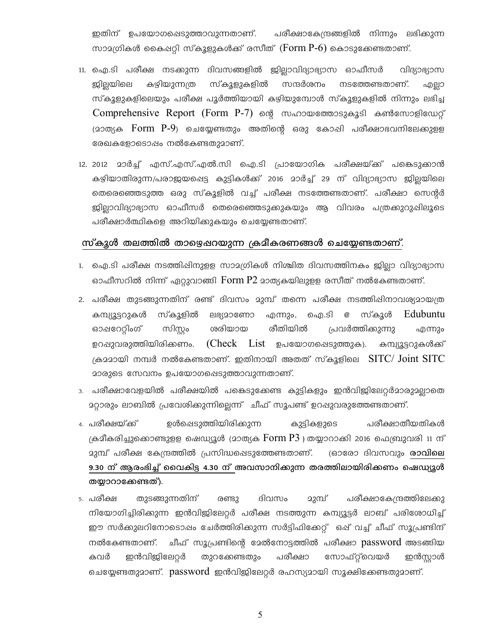ഇതിന് ഉപയോഗപ്പെടുത്താവുന്നതാണ്. പരീക്ഷാകേന്ദ്രങ്ങളിൽ നിന്നും ലഭിക്കുന്ന സാമഗ്രികൾ കൈപ്പറ്റി സ്കൂളുകൾക്ക് രസീത് (Form P-6) കൊടുക്കേണ്ടതാണ്.

- 11. ഐ.ടി പരീക്ഷ നടക്കുന്ന ദിവസങ്ങളിൽ ജില്ലാവിദ്യാഭ്യാസ ഓഫീസർ ပျေဖပေပေယ കഴിയുന്നത്ര സ്കൂളുകളിൽ സന്ദർശനം നടത്തേണ്ടതാണ്. ഇ്ലില്ലയിലെ എല്ലാ സ്കൂളുകളിലെയും പരീക്ഷ പൂർത്തിയായി കഴിയുമ്പോൾ സ്കൂളുകളിൽ നിന്നും ലഭിച്ച Comprehensive Report (Form P-7) ന്റെ സഹായത്തോടുകൂടി കൺസോളിഡേറ്റ് (മാത്യക Form P-9) ചെയ്യേണ്ടതും അതിന്റെ ഒരു കോഷി പരീക്ഷാഭവനിലേക്കുളള രേഖകളോടൊഷം നൽകേണ്ടതുമാണ്.
- 12. 2012 മാർച്ച് എസ്.എസ്.എൽ.സി ഐ.ടി പ്രായോഗിക പരീക്ഷയ്ക്ക് പങ്കെടുക്കാൻ കഴിയാതിരുന്ന/പരാജയപ്പെട്ട കുട്ടികൾക്ക് 2016 മാർച്ച് 29 ന് വിദ്യാഭ്യാസ ജില്ലയിലെ തെരെഞ്ഞെടുത്ത ഒരു സ്കൂളിൽ വച്ച് പരീക്ഷ നടത്തേണ്ടതാണ്. പരീക്ഷാ സെന്റർ ജില്ലാവിദ്യാഭ്യാസ ഓഫീസർ തെരെഞ്ഞെടുക്കുകയും ആ വിവരം പത്രക്കുറുഷിലൂടെ പരീക്ഷാർത്ഥികളെ അറിയിക്കുകയും ചെയ്യേണ്ടതാണ്.

#### സ്കൂൾ തലത്തിൽ താഴെഷറയുന്ന ക്രമീകരണങ്ങൾ ചെയ്യേണ്ടതാണ്.

- 1. ഐ.ടി പരീക്ഷ നടത്തിഷിനുളള സാമഗ്രികൾ നിശ്ചിത ദിവസത്തിനകം ജില്ലാ വിദ്യാഭ്യാസ ഓഫീസറിൽ നിന്ന് ഏറ്റുവാങ്ങി Form P2 മാത്യകയിലുളള രസീത് നൽകേണ്ടതാണ്.
- 2. പരീക്ഷ തുടങ്ങുന്നതിന് രണ്ട് ദിവസം മുമ്പ് തന്നെ പരീക്ഷ നടത്തിഷിനാവശ്യമായത്ര കമ്പ്യൂട്ടറുകൾ സ്കൂളിൽ ലഭ്യമാണോ എന്നും, ഐ.ടി *@* സ്കൂൾ Edubuntu ഓഷറേറ്റിംഗ് സിസ്റ്റം ശരിയായ രീതിയിൽ പ്രവർത്തിക്കുന്നു എന്നും ഉറപ്പുവരുത്തിയിരിക്കണം.  $(Check \ List \ 2)$ പയോഗപ്പെടുത്തുക). കമ്പ്യൂട്ടറുകൾക്ക് ക്രമമായി നമ്പർ നൽകേണ്ടതാണ്. ഇതിനായി അതത് സ്കൂളിലെ  $\rm SITC/$   $\rm Joint$   $\rm SITC$ മാരുടെ സേവനം ഉപയോഗപ്പെടുത്താവുന്നതാണ്.
- 3. പരീക്ഷാവേളയിൽ പരീക്ഷയിൽ പങ്കെടുക്കേണ്ട കുട്ടികളും ഇൻവിജിലേറ്റർമാരുമല്ലാതെ 2റ്റാരും ലാബിൽ പ്രവേശിക്കുന്നില്ലെന്ന് ചീഫ് സൂപണ്ട് ഉറ**ഷുവരുത്തേണ്ടതാണ്**.
- ഉൾഷെടുത്തിയിരിക്കുന്ന പരീക്ഷാതീയതികൾ 4. പരീക്ഷയ്ക്ക് കുട്ടികളുടെ ക്രമീകരിച്ചുക്കൊണ്ടുളള ഷെഡ്യൂൾ (മാത്യക  $\operatorname{Form} \operatorname{P3}$  ) തയ്യാറാക്കി 2016 ഫെബ്രുവരി 11 ന് 23മ്പ് പരീക്ഷ കേന്ദ്രത്തിൽ പ്രസിദ്ധപ്പെടുത്തേണ്ടതാണ്. (ഓരോ ദിവസവും **രാവിലെ** 9.30 ന് ആരംഭിച്ച് വൈകിട്ട 4.30 ന് അവസാനിക്കുന്ന തരത്തിലായിരിക്കണം ഷെഡ്യൂൾ തയ്യാറാക്കേണ്ടത്).
- 5. പരീക്ഷ തുടങ്ങുന്നതിന് ദിവസം മുമ്പ് പരീക്ഷാകേന്ദ്രത്തിലേക്കു രണ്ടു നിയോഗിച്ചിരിക്കുന്ന ഇൻവിജിലേറ്റർ പരീക്ഷ നടത്തുന്ന കമ്പ്യൂട്ടർ ലാബ് പരിശോധിച്ച് ഈ സർക്കുലറിനോടൊപ്പം ചേർത്തിരിക്കുന്ന സർട്ടിഫിക്കേറ്റ് ഒപ്പ് വച്ച് ചീഫ് സൂപ്രണ്ടിന് പരീക്ഷാ ഇൻവിജിലേറ്റർ തുറക്കേണ്ടതും സോഫ്റ്റ്വെയർ ഇൻസ്ലാൾ കവർ ചെയ്യേണ്ടതുമാണ്. password ഇൻവിജിലേറ്റർ രഹസ്യമായി സൂക്ഷിക്കേണ്ടതുമാണ്.

5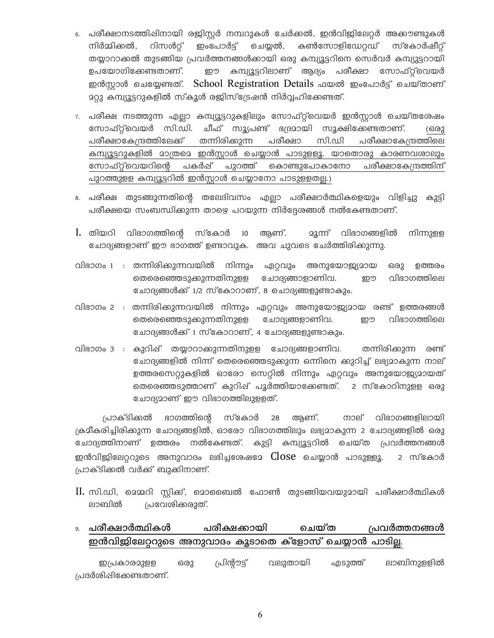- 6. പരീക്ഷാനടത്തിഷിനായി രജിസ്റ്റർ നമ്പറുകൾ ചേർക്കൽ, ഇൻവിജിലേറ്റർ അക്കൗണ്ടുകൾ നിർമ്മിക്കൽ, റിസൾറ്റ് ഇംപോർട്ട് ചെയ്യൽ, കൺസോളിഡേറ്റഡ് സ്കോർഷീറ്റ് തയ്യാറാക്കൽ തുടങ്ങിയ പ്രവർത്തനങ്ങൾക്കായി ഒരു കമ്പ്യൂട്ടറിനെ സെർവർ കമ്പ്യൂട്ടറായി ഉപയോഗിക്കേണ്ടതാണ്. ഈ കമ്പ്യൂട്ടറിലാണ് ആദ്യം പരീക്ഷാ സോഫ്റ്റ്വെയർ ഇൻസ്ലാൾ ചെയ്യേണ്ടത്. School Registration Details ഫയൽ ഇംപോർട്ട് ചെയ്താണ് 2റ്റു കമ്പ്യൂട്ടറുകളിൽ സ്കൂൾ രജിസ്ട്രേഷൻ നിർവ്വഹിക്കേണ്ടത്.
- 7. പരീക്ഷ നടത്തുന്ന എല്ലാ കമ്പ്യൂട്ടറുകളിലും സോഫ്റ്റ്വെയർ ഇൻസ്ലാൾ ചെയ്തശേഷം സോഫ്റ്റ്വെയർ സി.ഡി. ചീഫ് സൂൃപണ്ട് ഭദ്രമായി സൂക്ഷിക്കേണ്ടതാണ്. (ഒരു തന്നിരിക്കുന്ന പരീക്ഷാകേന്ദ്രത്തിലേക്ക് പരീക്ഷാ സി.ഡി പരീക്ഷാകേന്ദ്രത്തിലെ കമ്പ്യൂട്ടറുകളിൽ മാത്രമെ ഇൻസ്റ്റാൾ ചെയ്യാൻ പാടുളളൂ. യാതൊരു കാരണവശാലും സോഫ്റ്റ്വെയറിന്റെ പകർഷ് പുറത്ത് കൊണ്ടുപോകാനോ പരീക്ഷാകേന്ദ്രത്തിന് പുറത്തുളള കമ്പ്യൂട്ടറിൽ ഇൻസ്റ്റാൾ ചെയ്യാനോ പാടുളളതല്ല.)
- 8. പരീക്ഷ തുടങ്ങുന്നതിന്റെ തലേദിവസം എല്ലാ പരീക്ഷാർത്ഥികളെയും വിളിച്ചു കുട്ടി പരീക്ഷയെ സംബന്ധിക്കുന്ന താഴെ പറയുന്ന നിർദ്ദേശങ്ങൾ നൽകേണ്ടതാണ്.
- I. തിയറി വിഭാഗത്തിന്റെ സ്കോർ 10 ആണ്. നിന്നുളള ചോദ്യങ്ങളാണ് ഈ ഭാഗത്ത് ഉണ്ടാവുക. അവ ചുവടെ ചേർത്തിരിക്കുന്നു.
- വിഭാഗം 1 : തന്നിരിക്കുന്നവയിൽ നിന്നും ഏറ്റവും അനുയോജ്യമായ ഒരു ഉത്തരം തെരെഞ്ഞെടുക്കുന്നതിനുളള ചോദ്യങ്ങാളാണിവ. വിഭാഗത്തിലെ ഈ ചോദ്യങ്ങൾക്ക് 1/2 സ്കോറാണ്, 8 ചൊദ്യങ്ങളുണ്ടാകും.
- വിഭാഗം 2 : തന്നിരിക്കുന്നവയിൽ നിന്നും ഏറ്റവും അനുയോജ്യമായ രണ്ട് ഉത്തരങ്ങൾ തെരെഞ്ഞെടുക്കുന്നതിനുളള ചോദ്യങ്ങളാണിവ. വിഭാഗത്തിലെ ഈ ചോദ്യങ്ങൾക്ക് 1 സ്കോറാണ്, 4 ചോദ്യങ്ങളുണ്ടാകും.
- വിഭാഗം 3 : കുറിഷ് തയ്യാറാക്കുന്നതിനുളള ചോദ്യങ്ങളാണിവ. തന്നിരിക്കുന്ന രണ്ട് ചോദ്യങ്ങളിൽ നിന്ന് തെരെഞ്ഞെടുക്കുന്ന ഒന്നിനെ കുറിച്ച് ലഭ്യമാകുന്ന നാല് ഉത്തരസെറ്റുകളിൽ ഓരോ സെറ്റിൽ നിന്നും ഏറ്റവും അനുയോജ്യദായത് തെരെഞ്ഞടുത്താണ് കുറിഷ് പൂർത്തിയാക്കേണ്ടത്. 2 സ്കോറിനുളള ഒരു ചോദ്യമാണ് ഈ വിഭാഗത്തിലുളളത്.

ഭാഗത്തിന്റെ സ്കോർ 28 ആണ്. നാല് വിഭാഗങ്ങളിലായി പ്രാക്ടിക്കൽ ക്രമീകരിച്ചിരിക്കുന്ന ചോദ്യങ്ങളിൽ, ഓരോ വിഭാഗത്തിലും ലഭ്യമാകുന്ന 2 ചോദ്യങ്ങളിൽ ഒരു ചോദ്യത്തിനാണ് ഉത്തരം നൽകേണ്ടത്. കുട്ടി കമ്പ്യൂട്ടറിൽ ചെയ്ത പ്രവർത്തനങ്ങൾ ഇൻവിജിലേറ്ററുടെ അനുവാദം ലഭിച്ചശേഷമേ  $\sf{Close}$  ചെയ്യാൻ പാടുള്ളൂ. 2 സ്കോർ പ്രാക്ടിക്കൽ വർക്ക് ബുക്കിനാണ്.

- II. സി.ഡി, മെമ്മറി സ്റ്റിക്ക്, മൊബൈൽ ഫോൺ തുടങ്ങിയവയുമായി പരീക്ഷാർത്ഥികൾ ലാബിൽ പ്രവേശിക്കരുത്.
- ം. **പരീക്ഷാർത്ഥികൾ** പരീക്ഷക്കായി ചെയ്ത പ്രവർത്തനങ്ങൾ ഇൻവിജിലേറ്ററുടെ അനുവാദം കൂടാതെ ക്ളോസ് ചെയ്യാൻ പാടില്ല.

പ്രിൻ്റൗട്ട് വലുതായി ലാബിനുളളിൽ ഒരു എടുത്ത് ഇപ്രകാരമുളള പ്രദർശിപ്പിക്കേണ്ടതാണ്.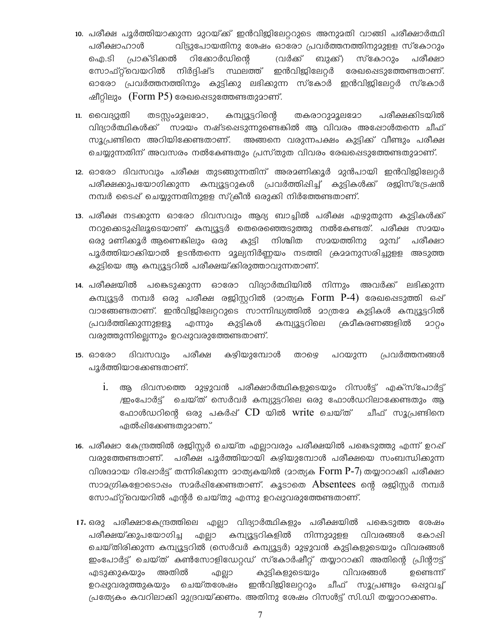- 10. പരീക്ഷ പൂർത്തിയാക്കുന്ന മുറയ്ക്ക് ഇൻവിജിലേറ്ററുടെ അനുമതി വാങ്ങി പരീക്ഷാർത്ഥി വിട്ടുപോയതിനു ശേഷം ഓരോ പ്രവർത്തനത്തിനുമുളള സ്കോറും പരീക്ഷാഹാൾ ഐ.ടി പ്രാക്ടിക്കൽ റിക്കോർഡിന്റെ വ്രർക്ക് ബുക്ക്) സ്കോറും പരീക്ഷാ സോഫ്റ്റ്വെയറിൽ നിർദ്ദിഷ്ട സ്ഥലത്ത് ഇൻവിജിലേറ്റർ രേഖപ്പെടുത്തേണ്ടതാണ്. ഓരോ പ്രവർത്തനത്തിനും കുട്ടിക്കു ലഭിക്കുന്ന സ്കോർ ഇൻവിജിലേറ്റർ സ്കോർ ഷീറ്റിലും (Form P5) രേഖപ്പെടുത്തേണ്ടതുമാണ്.
- 11. വൈദ്യുതി തടസ്സംമൂലമോ, കമ്പ്യൂട്ടറിന്റെ തകരാറുമൂലമോ പരീക്ഷകിടയിൽ വിദ്യാർത്ഥികൾക്ക് സമയം നഷ്ടപ്പെടുന്നുണ്ടെങ്കിൽ ആ വിവരം അഷോൾതന്നെ ചീഫ് സൂപ്രണ്ടിനെ അറിയിക്കേണ്ടതാണ്. അങ്ങനെ വരുന്നപക്ഷം കുട്ടിക്ക് വീണ്ടും പരീക്ഷ ചെയ്യുന്നതിന് അവസരം നൽകേണ്ടതും പ്രസ്തുത വിവരം രേഖപ്പെടുത്തേണ്ടതുമാണ്.
- 12. ഓരോ ദിവസവും പരീക്ഷ തുടങ്ങുന്നതിന് അരമണിക്കൂർ മുൻപായി ഇൻവിജിലേറ്റർ പരീക്ഷക്കുപയോഗിക്കുന്ന കമ്പ്യൂട്ടറുകൾ പ്രവർത്തിപ്പിച്ച് കുട്ടികൾക്ക് രജിസ്ട്രേഷൻ നമ്പർ ടൈഷ് ചെയ്യുന്നതിനുളള സ്ക്രീൻ ഒരുക്കി നിർത്തേണ്ടതാണ്.
- 13. പരീക്ഷ നടക്കുന്ന ഓരോ ദിവസവും ആദ്യ ബാച്ചിൽ പരീക്ഷ എഴുതുന്ന കുട്ടികൾക്ക് നറുക്കെടുഷിലൂടെയാണ് കമ്പ്യൂട്ടർ തെരെഞ്ഞെടുത്തു നൽകേണ്ടത്. പരീക്ഷ സമയം കുട്ടി നിശ്ചിത സമയത്തിനു <u>ാുമ്പ് പരീക്ഷാ</u> പൂർത്തിയാക്കിയാൽ ഉടൻതന്നെ മൂല്യനിർണ്ണയം നടത്തി ക്രമമനുസരിച്ചുളള അടുത്ത കുട്ടിയെ ആ കമ്പ്യൂട്ടറിൽ പരീക്ഷയ്ക്കിരുത്താവുന്നതാണ്.
- 14. പരീക്ഷയിൽ പങ്കെടുക്കുന്ന ഓരോ വിദ്യാർത്ഥിയിൽ നിന്നും അവർക്ക് ലഭിക്കുന്ന കമ്പ്യൂട്ടർ നമ്പർ ഒരു പരീക്ഷ രജിസ്റ്ററിൽ (മാത്യക Form P-4) രേഖപ്പെടുത്തി ഒപ്പ് വാങ്ങേണ്ടതാണ്. ഇൻവിജിലേറ്ററുടെ സാന്നിദ്ധ്യത്തിൽ മാത്രമേ കുട്ടികൾ കമ്പ്യൂട്ടറിൽ പ്രവർത്തിക്കുന്നുളളൂ എന്നും കുട്ടികൾ കമ്പ്യൂട്ടറിലെ ക്രമീകരണങ്ങളിൽ ၁၁၇၀ വരുത്തുന്നില്ലെന്നും ഉറഷുവരുത്തേണ്ടതാണ്.
- പരീക്ഷ കഴിയുമ്പോൾ പറയുന്ന പ്രവർത്തനങ്ങൾ ദിവസവും 15. 60800 താഴെ പൂർത്തിയാക്കേണ്ടതാണ്.
	- ആ ദിവസത്തെ മുഴുവൻ പരീക്ഷാർത്ഥികളുടെയും റിസൾട്ട് എക്സ്പോർട്ട്  $\dot{1}$ . /ഇംപോർട്ട് ചെയ്ത് സെർവർ കമ്പ്യുട്ടറിലെ ഒരു ഫോൾഡറിലാക്കേണ്ടതും ആ ഫോൾഡറിന്റെ ഒരു പകർഷ്  $\operatorname{CD}$  യിൽ write ചെയ്ത് ചീഫ് സൂപ്രണ്ടിനെ ഏൽഷിക്കേണ്ടതുമാണ.്
- 16. പരീക്ഷാ കേന്ദ്രത്തിൽ രജിസ്റ്റർ ചെയ്ത എല്ലാവരും പരീക്ഷയിൽ പങ്കെടുത്തു എന്ന് ഉറപ്പ് വരുത്തേണ്ടതാണ്. പരീക്ഷ പൂർത്തിയായി കഴിയുമ്പോൾ പരീക്ഷയെ സംബന്ധിക്കുന്ന വിശദമായ റിഷോർട്ട് തന്നിരിക്കുന്ന മാത്യകയിൽ (മാത്യക  $\overline{F}$ orm  $\overline{P}$ -7) തയ്യാറാക്കി പരീക്ഷാ സാമഗ്രികളോടൊഷം സമർഷിക്കേണ്ടതാണ്. കൂടാതെ  $\Lambda$ bsentees ന്റെ രജിസ്റ്റർ നമ്പർ സോഫ്റ്റ്വെയറിൽ എന്റർ ചെയ്തു എന്നു ഉറപ്പുവരുത്തേണ്ടതാണ്.
- 17. ഒരു പരീക്ഷാകേന്ദ്രത്തിലെ എല്ലാ വിദ്യാർത്ഥികളും പരീക്ഷയിൽ പങ്കെടുത്ത ശേഷം പരീക്ഷയ്ക്കുപയോഗിച്ച എല്ലാ കമ്പ്യൂട്ടറികളിൽ നിന്നുമുളള വിവരങ്ങൾ കോപ്പി ചെയ്തിരിക്കുന്ന കമ്പ്യൂട്ടറിൽ (സെർവർ കമ്പ്യൂട്ടർ) മുഴുവൻ കുട്ടികളുടെയും വിവരങ്ങൾ ഇംപോർട്ട് ചെയ്ത് കൺസോളിഡേറ്റഡ് സ്കോർഷീറ്റ് തയ്യാറാക്കി അതിന്റെ പ്രിന്റൗട്ട് എടുക്കുകയും അതിൽ എല്ലാ കുട്ടികളുടെയും വിവരങ്ങൾ ഉണ്ടെന്ന് ഉറപ്പുവരുത്തുകയും ചെയ്തശേഷം ഇൻവിജിലേറ്ററും ചീഫ് സൂപ്രണ്ടും ഒഷുവച്ച് പ്രത്യേകം കവറിലാക്കി മുദ്രവയ്ക്കണം. അതിനു ശേഷം റിസൾട്ട് സി.ഡി തയ്യാറാക്കണം.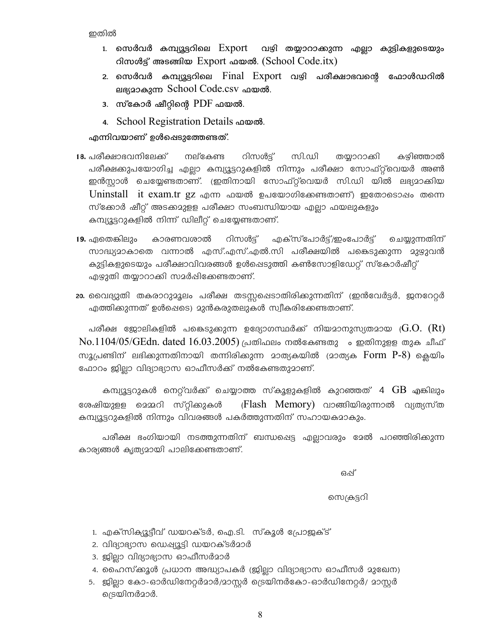ഇതിൽ

- 1. സെർവർ കമ്പ്യൂട്ടറിലെ  $\rm{Export}$ വഴി തയ്യാറാക്കുന്ന എല്ലാ കുട്ടികളുടെയും റിസൾട്ട് അടങ്ങിയ Export ഫയൽ. (School Code.itx)
- 2. സെർവർ കമ്പ്യൂട്ടറിലെ Final Export വഴി പരീക്ഷാഭവന്റെ ഫോൾഡറിൽ ലഭ്യമാകുന്ന School Code.csv ഫയൽ.
- 3. സ്കോർ ഷീറ്റിന്റെ  $PDF$  ഫയൽ.
- 4. School Registration Details **on** word.

എന്നിവയാണ് ഉൾഷെടുത്തേണ്ടത്.

- 18. പരീക്ഷാഭവനിലേക്ക് നല്കേണ്ട റിസൾട്ട് സി.ഡി തയ്യാറാക്കി കഴിഞ്ഞാൽ പരീക്ഷക്കുപയോഗിച്ച എല്ലാ കമ്പ്യൂട്ടറുകളിൽ നിന്നും പരീക്ഷാ സോഫ്റ്റ്വെയർ അൺ ഇൻസ്റ്റാൾ ചെയ്യേണ്ടതാണ്. (ഇതിനായി സോഫ്റ്റ്വെയർ സി.ഡി യിൽ ലഭ്യമാക്കിയ Uninstall it exam.tr gz എന്ന ഫയൽ ഉപയോഗിക്കേണ്ടതാണ്) ഇതോടൊഷം തന്നെ സ്ക്കോർ ഷീറ്റ് അടക്കമുളള പരീക്ഷാ സംബന്ധിയായ എല്ലാ ഫയലുകളും കമ്പ്യൂട്ടറുകളിൽ നിന്ന് ഡിലീറ്റ് ചെയ്യേണ്ടതാണ്.
- 19. ഏതെങ്കിലും കാരണവശാൽ റിസൾട്ട് എക്സ്പോർട്ട്/ഇംപോർട്ട് ചെയ്യുന്നതിന് സാദ്ധ്യമാകാതെ വന്നാൽ എസ്.എസ്.എൽ.സി പരീക്ഷയിൽ പങ്കെടുക്കുന്ന മുഴുവൻ കുട്ടികളുടെയും പരീക്ഷാവിവരങ്ങൾ ഉൾപ്പെടുത്തി കൺസോളിഡേറ്റ് സ്കോർഷീറ്റ് എഴുതി തയ്യാറാക്കി സമർഷിക്കേണ്ടതാണ്.
- 20. വൈദ്യുതി തകരാറുമൂലം പരീക്ഷ തടസ്സപ്പെടാതിരിക്കുന്നതിന് (ഇൻവേർട്ടർ, ജനറേറ്റർ എത്തിക്കുന്നത് ഉൾഷെടെ) മുൻകരുതലുകൾ സ്വീകരിക്കേണ്ടതാണ്.

പരീക്ഷ ജോലികളിൽ പങ്കെടുക്കുന്ന ഉദ്യോഗസ്ഥർക്ക് നിയമാനുസ്യതമായ ( $\rm{G.O.~(Rt)}$  $\rm No.1104/05/GEdn.$  dated  $16.03.2005$ ) പ്രതിഫലം നൽകേണ്ടതു ം ഇതിനുളള തുക ചീഫ് സൂപ്രണ്ടിന് ലഭിക്കുന്നതിനായി തന്നിരിക്കുന്ന മാത്യകയിൽ (മാത്യക  $\overline{\rm Form}$   $\rm P\text{-}8)$  കെയിം ഫോറം ജില്ലാ വിദ്യാഭ്യാസ ഓഫീസർക്ക് നൽകേണ്ടതുമാണ്.

കമ്പ്യൂട്ടറുകൾ നെറ്റ്വർക്ക് ചെയ്യാത്ത സ്കൂളുകളിൽ കുറഞ്ഞത്  $4\,$   ${\rm GB}$  എങ്കിലും ശേഷിയുളള മെമ്മറി സ്റ്റിക്കുകൾ (Flash Memory) വാങ്ങിയിരുന്നാൽ വ്യത്യസ്ത കമ്പ്യൂട്ടറുകളിൽ നിന്നും വിവരങ്ങൾ പകർത്തുന്നതിന് സഹായകമാകും.

പരീക്ഷ ഭംഗിയായി നടത്തുന്നതിന് ബന്ധപ്പെട്ട എല്ലാവരും മേൽ പറഞ്ഞിരിക്കുന്ന കാര്യങ്ങൾ കൃത്യമായി പാലിക്കേണ്ടതാണ്.

ഒഷ്

സെക്രട്ടറി

- 1. എക്സിക്യൂട്ടീവ് ഡയറക്ടർ, ഐ.ടി. സ്കൂൾ പ്രോജക്ട്
- 2. വിദ്യാഭ്യാസ ഡെഷ്യൂട്ടി ഡയറക്ടർമാർ
- 3. ജില്ലാ വിദ്യാഭ്യാസ ഓഫീസർമാർ
- 4. ഹൈസ്ക്കൂൾ പ്രധാന അദ്ധ്യാപകർ (ജില്ലാ വിദ്യാഭ്യാസ ഓഫീസർ മുഖേന)
- 5. ജില്ലാ കോ-ഓർഡിനേറ്റർമാർ/മാസ്റ്റർ ട്രെയിനർകോ-ഓർഡിനേറ്റർ/ മാസ്റ്റർ ട്രെയിനർമാർ.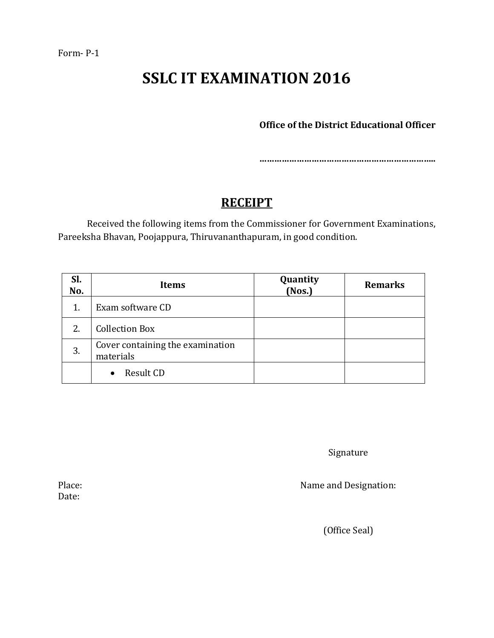**Office of the District Educational Officer**

**……………………………………………………………..**

## **RECEIPT**

Received the following items from the Commissioner for Government Examinations, Pareeksha Bhavan, Poojappura, Thiruvananthapuram, in good condition.

| Sl.<br>No. | <b>Items</b>                                  | Quantity<br>(Nos.) | <b>Remarks</b> |
|------------|-----------------------------------------------|--------------------|----------------|
| 1.         | Exam software CD                              |                    |                |
| 2.         | <b>Collection Box</b>                         |                    |                |
| 3.         | Cover containing the examination<br>materials |                    |                |
|            | Result CD                                     |                    |                |

Signature

Place: Name and Designation:

(Office Seal)

Date: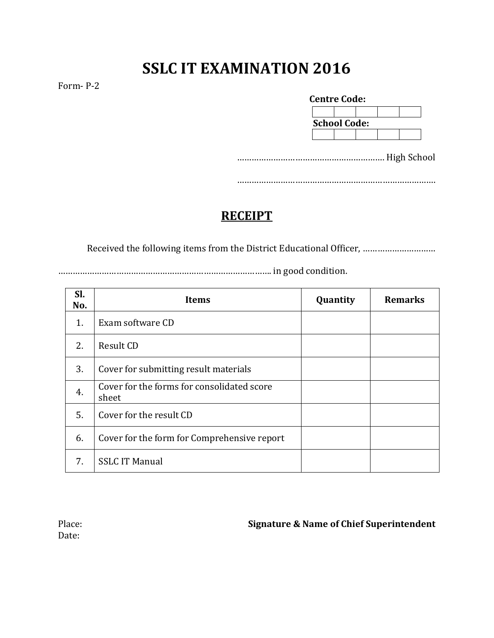Form- P-2

| <b>Centre Code:</b> |  |  |  |  |  |
|---------------------|--|--|--|--|--|
|                     |  |  |  |  |  |
| <b>School Code:</b> |  |  |  |  |  |
|                     |  |  |  |  |  |

……………………………………………………. High School

……………………………………………………………………….

## **RECEIPT**

Received the following items from the District Educational Officer, …………………………

……………………………………………………………………………. in good condition.

| SI.<br>No. | <b>Items</b>                                        | Quantity | <b>Remarks</b> |
|------------|-----------------------------------------------------|----------|----------------|
| 1.         | Exam software CD                                    |          |                |
| 2.         | Result CD                                           |          |                |
| 3.         | Cover for submitting result materials               |          |                |
| 4.         | Cover for the forms for consolidated score<br>sheet |          |                |
| 5.         | Cover for the result CD                             |          |                |
| 6.         | Cover for the form for Comprehensive report         |          |                |
| 7.         | <b>SSLC IT Manual</b>                               |          |                |

Date:

Place: **Signature & Name of Chief Superintendent**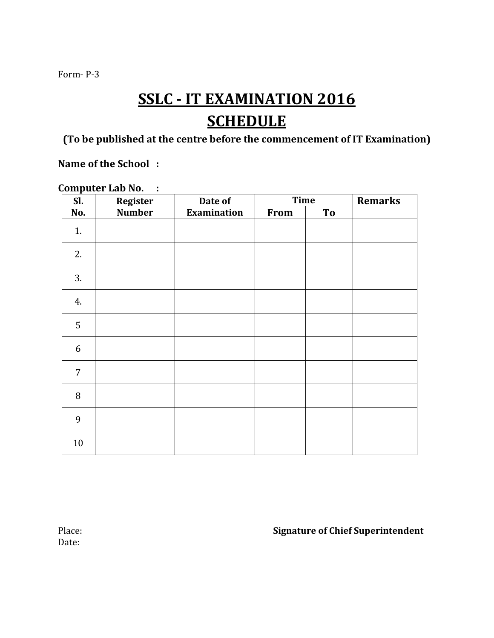## **SSLC - IT EXAMINATION 2016 SCHEDULE**

**(To be published at the centre before the commencement of IT Examination)**

**Name of the School :**

| Sl.            | <b>Register</b> | Date of     | <b>Time</b> |           | <b>Remarks</b> |
|----------------|-----------------|-------------|-------------|-----------|----------------|
| No.            | <b>Number</b>   | Examination | From        | <b>To</b> |                |
| 1.             |                 |             |             |           |                |
| 2.             |                 |             |             |           |                |
| 3.             |                 |             |             |           |                |
| 4.             |                 |             |             |           |                |
| 5              |                 |             |             |           |                |
| 6              |                 |             |             |           |                |
| $\overline{7}$ |                 |             |             |           |                |
| 8              |                 |             |             |           |                |
| 9              |                 |             |             |           |                |
| 10             |                 |             |             |           |                |

**Computer Lab No. :**

Date:

Place: **Signature of Chief Superintendent**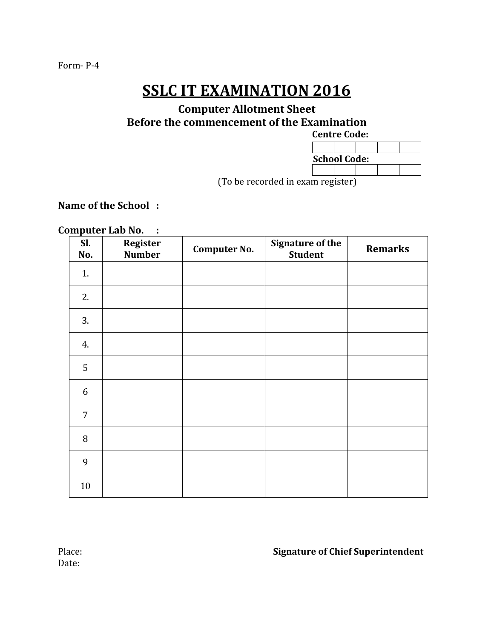#### **Computer Allotment Sheet Before the commencement of the Examination**

## **Centre Code: School Code:**

(To be recorded in exam register)

#### **Name of the School :**

#### **Computer Lab No. :**

| Sl.<br>No.     | <b>Register</b><br><b>Number</b> | <b>Computer No.</b> | <b>Signature of the</b><br><b>Student</b> | <b>Remarks</b> |
|----------------|----------------------------------|---------------------|-------------------------------------------|----------------|
| 1.             |                                  |                     |                                           |                |
| 2.             |                                  |                     |                                           |                |
| 3.             |                                  |                     |                                           |                |
| 4.             |                                  |                     |                                           |                |
| 5              |                                  |                     |                                           |                |
| $6\,$          |                                  |                     |                                           |                |
| $\overline{7}$ |                                  |                     |                                           |                |
| $\, 8$         |                                  |                     |                                           |                |
| 9              |                                  |                     |                                           |                |
| 10             |                                  |                     |                                           |                |

#### Place: **Signature of Chief Superintendent**

Date: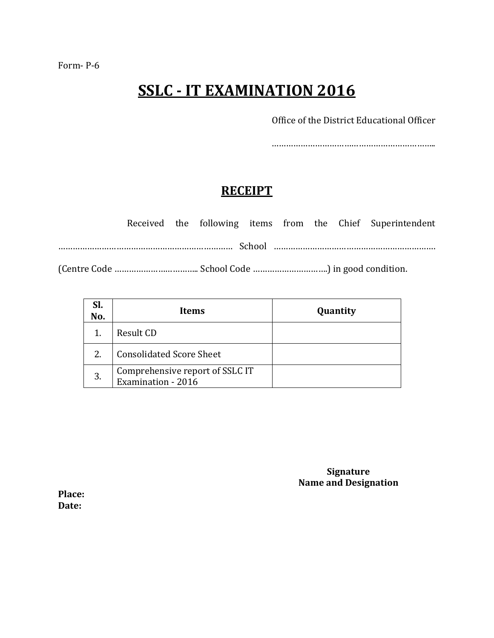Office of the District Educational Officer

…………………………………………………………..

### **RECEIPT**

|  |  |  |  | Received the following items from the Chief Superintendent |
|--|--|--|--|------------------------------------------------------------|
|  |  |  |  |                                                            |
|  |  |  |  |                                                            |

| SI.<br>No. | Items                                                 | Quantity |
|------------|-------------------------------------------------------|----------|
|            | Result CD                                             |          |
| 2.         | <b>Consolidated Score Sheet</b>                       |          |
| 3.         | Comprehensive report of SSLC IT<br>Examination - 2016 |          |

**Signature Name and Designation**

**Place: Date:**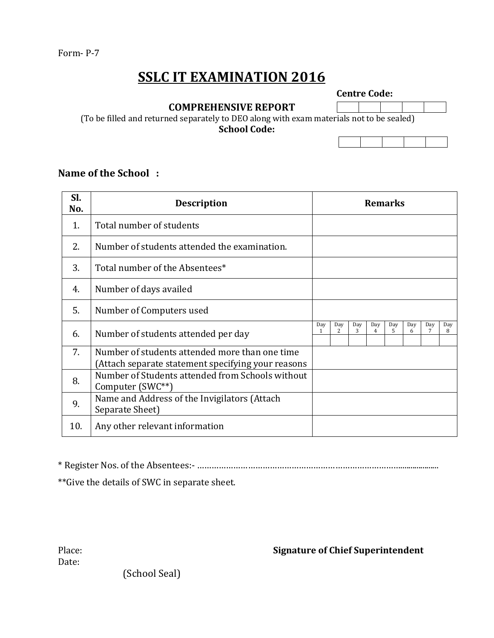**Centre Code:**

 **COMPREHENSIVE REPORT** 

(To be filled and returned separately to DEO along with exam materials not to be sealed) **School Code:**

#### **Name of the School :**

| SI.<br>No. | <b>Description</b>                                                                                   | <b>Remarks</b> |          |          |          |          |          |     |          |
|------------|------------------------------------------------------------------------------------------------------|----------------|----------|----------|----------|----------|----------|-----|----------|
| 1.         | Total number of students                                                                             |                |          |          |          |          |          |     |          |
| 2.         | Number of students attended the examination.                                                         |                |          |          |          |          |          |     |          |
| 3.         | Total number of the Absentees*                                                                       |                |          |          |          |          |          |     |          |
| 4.         | Number of days availed                                                                               |                |          |          |          |          |          |     |          |
| 5.         | Number of Computers used                                                                             |                |          |          |          |          |          |     |          |
| 6.         | Number of students attended per day                                                                  | Day<br>1       | Day<br>2 | Day<br>3 | Day<br>4 | Day<br>5 | Day<br>6 | Day | Day<br>8 |
| 7.         | Number of students attended more than one time<br>(Attach separate statement specifying your reasons |                |          |          |          |          |          |     |          |
| 8.         | Number of Students attended from Schools without<br>Computer (SWC**)                                 |                |          |          |          |          |          |     |          |
| 9.         | Name and Address of the Invigilators (Attach<br>Separate Sheet)                                      |                |          |          |          |          |          |     |          |
| 10.        | Any other relevant information                                                                       |                |          |          |          |          |          |     |          |

\* Register Nos. of the Absentees:- …………………………………………………………………………...................

\*\*Give the details of SWC in separate sheet.

Date:

Place: **Signature of Chief Superintendent**

(School Seal)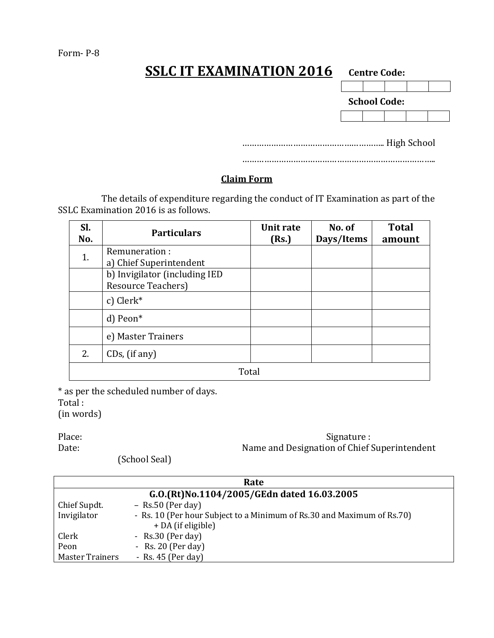| )LU II EXAMINATIUN ZUI 6 |  | <b>Centre Code:</b> |  |
|--------------------------|--|---------------------|--|
|                          |  |                     |  |
|                          |  | <b>School Code:</b> |  |
|                          |  |                     |  |

………………………………………………….. High School

……………………………………………………………………..

#### **Claim Form**

The details of expenditure regarding the conduct of IT Examination as part of the SSLC Examination 2016 is as follows.

| SI.<br>No. | <b>Particulars</b>             | Unit rate<br>(Rs.) | No. of<br>Days/Items | <b>Total</b><br>amount |  |
|------------|--------------------------------|--------------------|----------------------|------------------------|--|
| 1.         | Remuneration:                  |                    |                      |                        |  |
|            | a) Chief Superintendent        |                    |                      |                        |  |
|            | b) Invigilator (including IED  |                    |                      |                        |  |
|            | <b>Resource Teachers</b> )     |                    |                      |                        |  |
|            | c) Clerk*                      |                    |                      |                        |  |
|            | d) Peon*                       |                    |                      |                        |  |
|            | e) Master Trainers             |                    |                      |                        |  |
| 2.         | $\text{CDs}, \text{ (if any)}$ |                    |                      |                        |  |
|            | Total                          |                    |                      |                        |  |

\* as per the scheduled number of days.

Total :

(in words)

Signature : Date: Name and Designation of Chief Superintendent

(School Seal)

|                                            | Rate                                                                                           |  |  |
|--------------------------------------------|------------------------------------------------------------------------------------------------|--|--|
| G.O.(Rt)No.1104/2005/GEdn dated 16.03.2005 |                                                                                                |  |  |
| Chief Supdt.                               | $-$ Rs.50 (Per day)                                                                            |  |  |
| Invigilator                                | - Rs. 10 (Per hour Subject to a Minimum of Rs. 30 and Maximum of Rs. 70)<br>+ DA (if eligible) |  |  |
| Clerk                                      | - $Rs.30$ (Per day)                                                                            |  |  |
| Peon                                       | - Rs. 20 (Per day)                                                                             |  |  |
| <b>Master Trainers</b>                     | - Rs. $45$ (Per day)                                                                           |  |  |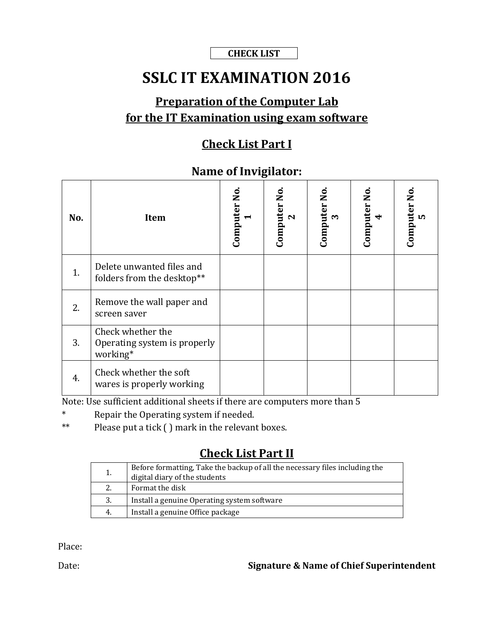#### **CHECK LIST**

## **SSLC IT EXAMINATION 2016**

## **Preparation of the Computer Lab for the IT Examination using exam software**

#### **Check List Part I**

#### **Name of Invigilator:**

| No. | <b>Item</b>                                                   | Computer No.<br>$\blacktriangleright$ | Computer No<br>$\mathbf N$ | Computer No<br>$\sim$ | Computer No.<br>$\blacktriangleleft$ | Computer No<br>ທ |
|-----|---------------------------------------------------------------|---------------------------------------|----------------------------|-----------------------|--------------------------------------|------------------|
| 1.  | Delete unwanted files and<br>folders from the desktop**       |                                       |                            |                       |                                      |                  |
| 2.  | Remove the wall paper and<br>screen saver                     |                                       |                            |                       |                                      |                  |
| 3.  | Check whether the<br>Operating system is properly<br>working* |                                       |                            |                       |                                      |                  |
| 4.  | Check whether the soft<br>wares is properly working           |                                       |                            |                       |                                      |                  |

Note: Use sufficient additional sheets if there are computers more than 5

- \* Repair the Operating system if needed.
- \*\* Please put a tick ( ) mark in the relevant boxes.

## **Check List Part II**

| 1. | Before formatting, Take the backup of all the necessary files including the<br>digital diary of the students |
|----|--------------------------------------------------------------------------------------------------------------|
| 2. | Format the disk                                                                                              |
| 3. | Install a genuine Operating system software                                                                  |
| 4. | Install a genuine Office package                                                                             |

Place:

Date: **Signature & Name of Chief Superintendent**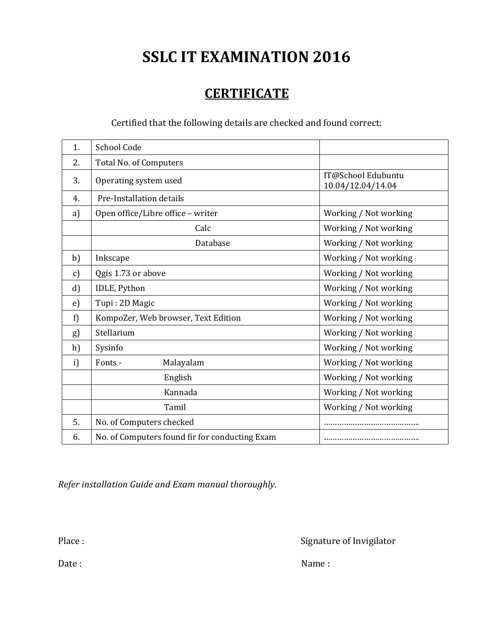## **CERTIFICATE**

### Certified that the following details are checked and found correct:

| 1.           | School Code                                    |                                         |
|--------------|------------------------------------------------|-----------------------------------------|
| 2.           | Total No. of Computers                         |                                         |
| 3.           | Operating system used                          | IT@School Edubuntu<br>10.04/12.04/14.04 |
| 4.           | Pre-Installation details                       |                                         |
| a)           | Open office/Libre office - writer              | Working / Not working                   |
|              | Calc                                           | Working / Not working                   |
|              | Database                                       | Working / Not working                   |
| b)           | Inkscape                                       | Working / Not working                   |
| c)           | Qgis 1.73 or above                             | Working / Not working                   |
| $\mathbf{d}$ | IDLE, Python                                   | Working / Not working                   |
| e)           | Tupi: 2D Magic                                 | Working / Not working                   |
| f)           | KompoZer, Web browser, Text Edition            | Working / Not working                   |
| g)           | Stellarium                                     | Working / Not working                   |
| h)           | Sysinfo                                        | Working / Not working                   |
| i)           | Fonts -<br>Malayalam                           | Working / Not working                   |
|              | English                                        | Working / Not working                   |
|              | Kannada                                        | Working / Not working                   |
|              | Tamil                                          | Working / Not working                   |
| 5.           | No. of Computers checked                       |                                         |
| 6.           | No. of Computers found fir for conducting Exam |                                         |

*Refer installation Guide and Exam manual thoroughly.*

Place : Signature of Invigilator

Date : Name : Name : Name : Name : Name : Name : Name : Name : Name : Name : Name : Name : Name : Name :  $\mathbb{N}$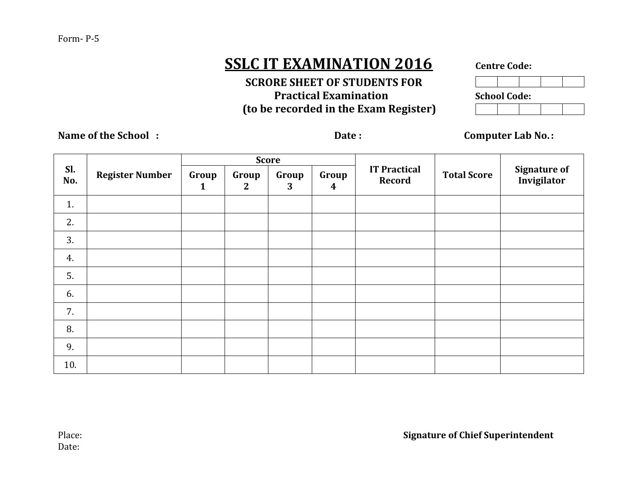#### Form- P-5

## **SSLC IT EXAMINATION 2016** Centre Code:

 **SCRORE SHEET OF STUDENTS FOR Practical Examination** School **(to be recorded in the Exam Register)**

| <b>School Code:</b> |  |  |  |  |  |  |  |  |
|---------------------|--|--|--|--|--|--|--|--|
|                     |  |  |  |  |  |  |  |  |

**Name of the School : Date : Date : Computer Lab No.:** 

| Sl.<br>No. | <b>Register Number</b> | <b>Score</b>          |                       |            |                           |                               |                    |                                    |
|------------|------------------------|-----------------------|-----------------------|------------|---------------------------|-------------------------------|--------------------|------------------------------------|
|            |                        | Group<br>$\mathbf{1}$ | Group<br>$\mathbf{2}$ | Group<br>3 | Group<br>$\boldsymbol{4}$ | <b>IT Practical</b><br>Record | <b>Total Score</b> | <b>Signature of</b><br>Invigilator |
| 1.         |                        |                       |                       |            |                           |                               |                    |                                    |
| 2.         |                        |                       |                       |            |                           |                               |                    |                                    |
| 3.         |                        |                       |                       |            |                           |                               |                    |                                    |
| 4.         |                        |                       |                       |            |                           |                               |                    |                                    |
| 5.         |                        |                       |                       |            |                           |                               |                    |                                    |
| 6.         |                        |                       |                       |            |                           |                               |                    |                                    |
| 7.         |                        |                       |                       |            |                           |                               |                    |                                    |
| 8.         |                        |                       |                       |            |                           |                               |                    |                                    |
| 9.         |                        |                       |                       |            |                           |                               |                    |                                    |
| 10.        |                        |                       |                       |            |                           |                               |                    |                                    |